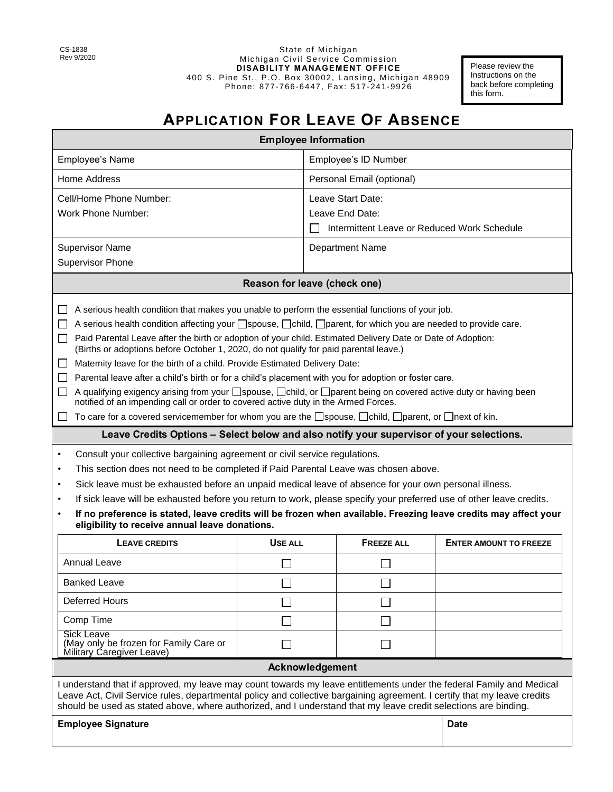State of Michigan Michigan Civil Service Commission **DISABILITY MANAGEMENT OFFICE**  400 S. Pine St., P.O. Box 30002, Lansing, Michigan 48909 Phone: 877-766-6447, Fax: 517 -241-9926

Please review the Instructions on the back before completing this form.

## **APPLICATION FOR LEAVE OF ABSENCE**

| <b>Employee Information</b>                                                                                                                                                                                                                                                                                                                                         |         |                                             |                   |                               |
|---------------------------------------------------------------------------------------------------------------------------------------------------------------------------------------------------------------------------------------------------------------------------------------------------------------------------------------------------------------------|---------|---------------------------------------------|-------------------|-------------------------------|
| Employee's Name                                                                                                                                                                                                                                                                                                                                                     |         | Employee's ID Number                        |                   |                               |
| Home Address                                                                                                                                                                                                                                                                                                                                                        |         | Personal Email (optional)                   |                   |                               |
| Cell/Home Phone Number:                                                                                                                                                                                                                                                                                                                                             |         | Leave Start Date:                           |                   |                               |
| <b>Work Phone Number:</b>                                                                                                                                                                                                                                                                                                                                           |         | Leave End Date:                             |                   |                               |
|                                                                                                                                                                                                                                                                                                                                                                     |         | Intermittent Leave or Reduced Work Schedule |                   |                               |
| <b>Supervisor Name</b>                                                                                                                                                                                                                                                                                                                                              |         | <b>Department Name</b>                      |                   |                               |
| <b>Supervisor Phone</b>                                                                                                                                                                                                                                                                                                                                             |         |                                             |                   |                               |
| Reason for leave (check one)                                                                                                                                                                                                                                                                                                                                        |         |                                             |                   |                               |
| A serious health condition that makes you unable to perform the essential functions of your job.<br>$\mathbf{L}$                                                                                                                                                                                                                                                    |         |                                             |                   |                               |
| A serious health condition affecting your Spouse, Ochild, Oparent, for which you are needed to provide care.<br>$\Box$                                                                                                                                                                                                                                              |         |                                             |                   |                               |
| Paid Parental Leave after the birth or adoption of your child. Estimated Delivery Date or Date of Adoption:<br>$\Box$<br>(Births or adoptions before October 1, 2020, do not qualify for paid parental leave.)                                                                                                                                                      |         |                                             |                   |                               |
| Maternity leave for the birth of a child. Provide Estimated Delivery Date:<br>$\perp$                                                                                                                                                                                                                                                                               |         |                                             |                   |                               |
| Parental leave after a child's birth or for a child's placement with you for adoption or foster care.<br>$\perp$                                                                                                                                                                                                                                                    |         |                                             |                   |                               |
| A qualifying exigency arising from your □spouse, □child, or □parent being on covered active duty or having been<br>$\perp$<br>notified of an impending call or order to covered active duty in the Armed Forces.                                                                                                                                                    |         |                                             |                   |                               |
| To care for a covered servicemember for whom you are the Spouse, Ochild, Oparent, or Onext of kin.<br>$\perp$                                                                                                                                                                                                                                                       |         |                                             |                   |                               |
| Leave Credits Options - Select below and also notify your supervisor of your selections.                                                                                                                                                                                                                                                                            |         |                                             |                   |                               |
| Consult your collective bargaining agreement or civil service regulations.<br>$\bullet$                                                                                                                                                                                                                                                                             |         |                                             |                   |                               |
| This section does not need to be completed if Paid Parental Leave was chosen above.<br>$\bullet$                                                                                                                                                                                                                                                                    |         |                                             |                   |                               |
| Sick leave must be exhausted before an unpaid medical leave of absence for your own personal illness.<br>$\bullet$                                                                                                                                                                                                                                                  |         |                                             |                   |                               |
| If sick leave will be exhausted before you return to work, please specify your preferred use of other leave credits.<br>$\bullet$                                                                                                                                                                                                                                   |         |                                             |                   |                               |
| If no preference is stated, leave credits will be frozen when available. Freezing leave credits may affect your<br>$\bullet$<br>eligibility to receive annual leave donations.                                                                                                                                                                                      |         |                                             |                   |                               |
| <b>LEAVE CREDITS</b>                                                                                                                                                                                                                                                                                                                                                | USE ALL |                                             | <b>FREEZE ALL</b> | <b>ENTER AMOUNT TO FREEZE</b> |
| <b>Annual Leave</b>                                                                                                                                                                                                                                                                                                                                                 |         |                                             |                   |                               |
| <b>Banked Leave</b>                                                                                                                                                                                                                                                                                                                                                 |         |                                             |                   |                               |
| <b>Deferred Hours</b>                                                                                                                                                                                                                                                                                                                                               |         |                                             |                   |                               |
| Comp Time                                                                                                                                                                                                                                                                                                                                                           |         |                                             |                   |                               |
| Sick Leave<br>(May only be frozen for Family Care or<br>Military Caregiver Leave)                                                                                                                                                                                                                                                                                   |         |                                             | $\mathbf{I}$      |                               |
| Acknowledgement                                                                                                                                                                                                                                                                                                                                                     |         |                                             |                   |                               |
| I understand that if approved, my leave may count towards my leave entitlements under the federal Family and Medical<br>Leave Act, Civil Service rules, departmental policy and collective bargaining agreement. I certify that my leave credits<br>should be used as stated above, where authorized, and I understand that my leave credit selections are binding. |         |                                             |                   |                               |
| <b>Employee Signature</b>                                                                                                                                                                                                                                                                                                                                           |         |                                             |                   | <b>Date</b>                   |